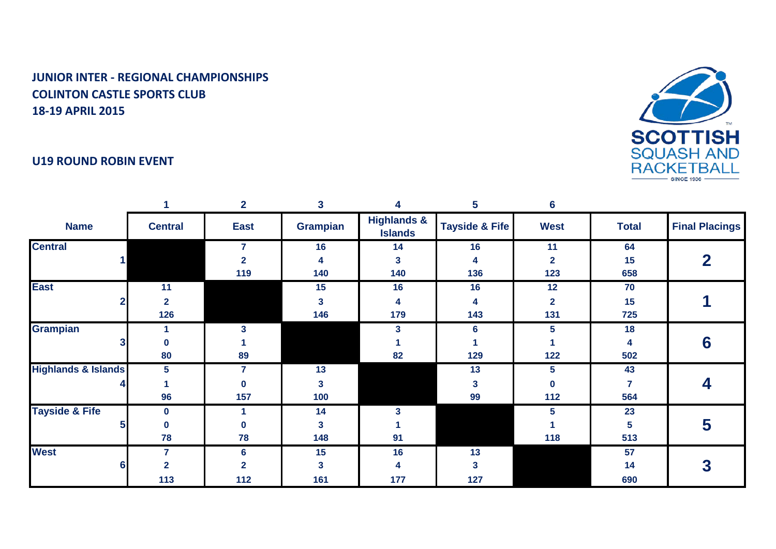



|                                |                | $\overline{2}$ | 3               | 4                                        | 5                         | 6               |                 |                       |
|--------------------------------|----------------|----------------|-----------------|------------------------------------------|---------------------------|-----------------|-----------------|-----------------------|
| <b>Name</b>                    | <b>Central</b> | <b>East</b>    | <b>Grampian</b> | <b>Highlands &amp;</b><br><b>Islands</b> | <b>Tayside &amp; Fife</b> | <b>West</b>     | <b>Total</b>    | <b>Final Placings</b> |
| <b>Central</b>                 |                | 7              | 16              | 14                                       | 16                        | 11              | 64              |                       |
|                                |                | $\overline{2}$ | 4               | 3                                        | 4                         | $\overline{2}$  | 15              |                       |
|                                |                | 119            | 140             | 140                                      | 136                       | 123             | 658             |                       |
| <b>East</b>                    | 11             |                | 15              | 16                                       | 16                        | 12              | 70              |                       |
|                                | $\mathbf{2}$   |                | 3               | 4                                        | 4                         | $\mathbf{2}$    | 15              |                       |
|                                | 126            |                | 146             | 179                                      | 143                       | 131             | 725             |                       |
| <b>Grampian</b>                |                | 3              |                 | 3                                        | 6                         | 5               | 18              |                       |
|                                | $\bf{0}$       |                |                 |                                          |                           |                 | 4               | 6                     |
|                                | 80             | 89             |                 | 82                                       | 129                       | $122$           | 502             |                       |
| <b>Highlands &amp; Islands</b> | 5              | 7              | 13              |                                          | 13                        | $5\phantom{.0}$ | 43              |                       |
|                                |                | 0              | 3               |                                          | 3                         | $\bf{0}$        |                 |                       |
|                                | 96             | 157            | 100             |                                          | 99                        | 112             | 564             |                       |
| <b>Tayside &amp; Fife</b>      | $\bf{0}$       |                | 14              | 3                                        |                           | 5               | 23              |                       |
|                                | $\pmb{0}$      | $\bf{0}$       | $\mathbf{3}$    |                                          |                           |                 | $5\phantom{.0}$ | 5                     |
|                                | 78             | 78             | 148             | 91                                       |                           | 118             | 513             |                       |
| <b>West</b>                    | $\overline{7}$ | 6              | 15              | 16                                       | 13                        |                 | 57              |                       |
|                                | 2              | $\overline{2}$ | 3               | 4                                        | 3                         |                 | 14              |                       |
|                                | 113            | $112$          | 161             | 177                                      | 127                       |                 | 690             |                       |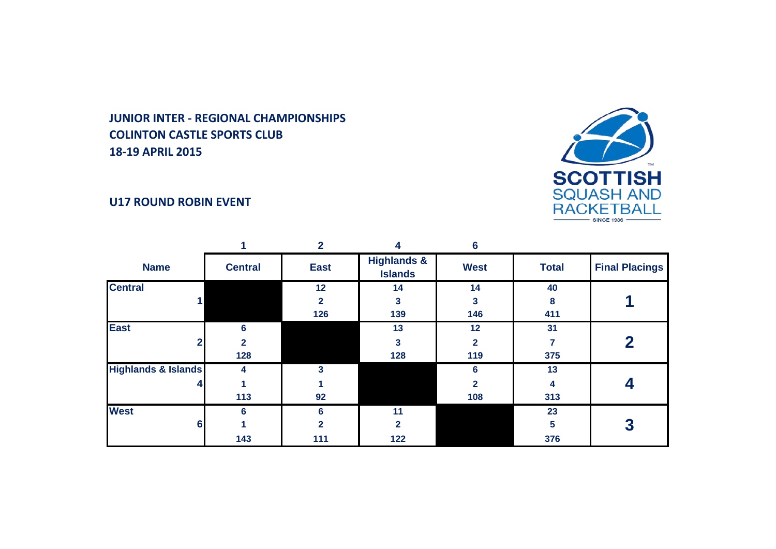

### **U17 ROUND ROBIN EVENT**

|                                |                | $\mathbf 2$    |                                          | 6              |              |                       |
|--------------------------------|----------------|----------------|------------------------------------------|----------------|--------------|-----------------------|
| <b>Name</b>                    | <b>Central</b> | <b>East</b>    | <b>Highlands &amp;</b><br><b>Islands</b> | <b>West</b>    | <b>Total</b> | <b>Final Placings</b> |
| <b>Central</b>                 |                | 12             | 14                                       | 14             | 40           |                       |
|                                |                | $\mathbf{2}$   | 3                                        | 3              | 8            |                       |
|                                |                | 126            | 139                                      | 146            | 411          |                       |
| <b>East</b>                    | 6              |                | 13                                       | 12             | 31           |                       |
|                                | $\overline{2}$ |                | $\overline{\mathbf{3}}$                  | $\overline{2}$ |              | 2                     |
|                                | 128            |                | 128                                      | 119            | 375          |                       |
| <b>Highlands &amp; Islands</b> | 4              | 3              |                                          | 6              | 13           |                       |
| 4                              |                |                |                                          | $\mathbf{2}$   | 4            |                       |
|                                | 113            | 92             |                                          | 108            | 313          |                       |
| <b>West</b>                    | 6              | 6              | 11                                       |                | 23           |                       |
| 6                              |                | $\overline{2}$ | $\mathbf{2}$                             |                | 5            | 3                     |
|                                | 143            | 111            | 122                                      |                | 376          |                       |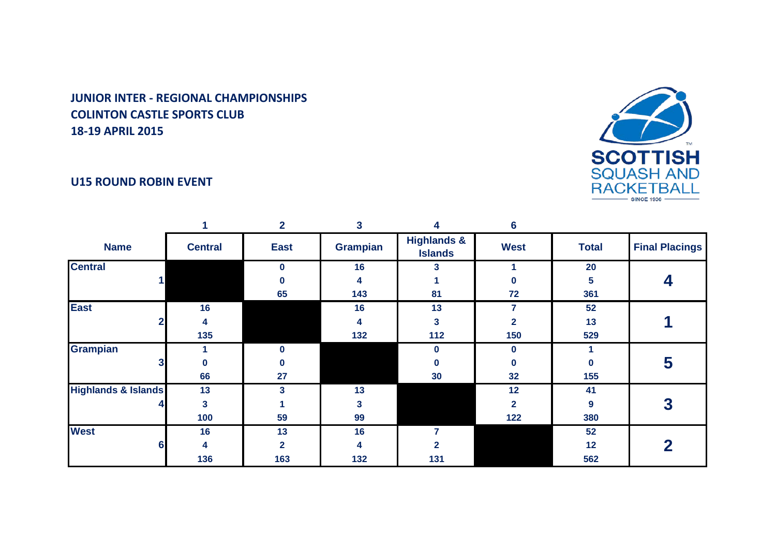#### **U15 ROUND ROBIN EVENT**



|                                |                | 2            | 3               | 4                                        | 6                       |              |                       |
|--------------------------------|----------------|--------------|-----------------|------------------------------------------|-------------------------|--------------|-----------------------|
| <b>Name</b>                    | <b>Central</b> | <b>East</b>  | <b>Grampian</b> | <b>Highlands &amp;</b><br><b>Islands</b> | <b>West</b>             | <b>Total</b> | <b>Final Placings</b> |
| <b>Central</b>                 |                | $\bf{0}$     | 16              | 3                                        |                         | 20           |                       |
|                                |                | 0            | 4               |                                          | 0                       | 5            |                       |
|                                |                | 65           | 143             | 81                                       | 72                      | 361          |                       |
| <b>East</b>                    | 16             |              | 16              | 13                                       | 7                       | 52           |                       |
|                                | 4              |              | 4               | 3                                        | 2                       | 13           |                       |
|                                | 135            |              | 132             | 112                                      | 150                     | 529          |                       |
| <b>Grampian</b>                |                | $\Omega$     |                 | $\bf{0}$                                 | 0                       |              |                       |
|                                | 0              | n            |                 | 0                                        | $\bf{0}$                | U            | 5                     |
|                                | 66             | 27           |                 | 30                                       | 32                      | 155          |                       |
| <b>Highlands &amp; Islands</b> | 13             | 3            | 13              |                                          | 12                      | 41           |                       |
|                                | 3              |              | 3               |                                          | $\overline{\mathbf{2}}$ | 9            | 3                     |
|                                | 100            | 59           | 99              |                                          | 122                     | 380          |                       |
| <b>West</b>                    | 16             | 13           | 16              |                                          |                         | 52           |                       |
| 6                              | 4              | $\mathbf{2}$ | 4               | 2                                        |                         | 12           | 2                     |
|                                | 136            | 163          | 132             | 131                                      |                         | 562          |                       |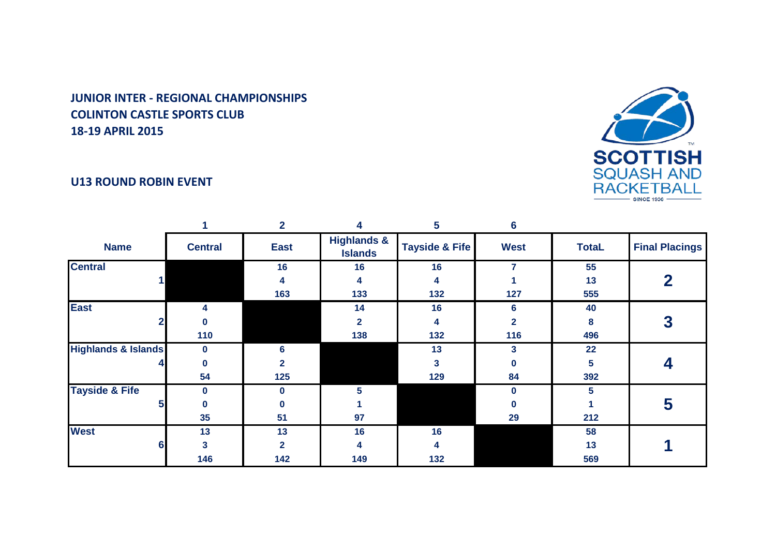#### **U13 ROUND ROBIN EVENT**



|                                |                | $\mathbf{2}$ |                                          | 5.                        | 6            |              |                       |
|--------------------------------|----------------|--------------|------------------------------------------|---------------------------|--------------|--------------|-----------------------|
| <b>Name</b>                    | <b>Central</b> | <b>East</b>  | <b>Highlands &amp;</b><br><b>Islands</b> | <b>Tayside &amp; Fife</b> | <b>West</b>  | <b>TotaL</b> | <b>Final Placings</b> |
| <b>Central</b>                 |                | 16           | 16                                       | 16                        | 7            | 55           |                       |
|                                |                | 4            | 4                                        | 4                         |              | 13           | 2                     |
|                                |                | 163          | 133                                      | 132                       | 127          | 555          |                       |
| <b>East</b>                    | 4              |              | 14                                       | 16                        | 6            | 40           |                       |
|                                | Ω              |              | $\overline{2}$                           | 4                         | $\mathbf{2}$ | 8            |                       |
|                                | 110            |              | 138                                      | 132                       | 116          | 496          |                       |
| <b>Highlands &amp; Islands</b> | $\bf{0}$       | 6            |                                          | 13                        | 3            | 22           |                       |
|                                | Ω              |              |                                          | 3                         | 0            | 5            |                       |
|                                | 54             | 125          |                                          | 129                       | 84           | 392          |                       |
| <b>Tayside &amp; Fife</b>      | $\bf{0}$       |              | 5.                                       |                           | 0            | 5.           |                       |
|                                | 0              |              |                                          |                           | 0            |              | 5                     |
|                                | 35             | 51           | 97                                       |                           | 29           | 212          |                       |
| <b>West</b>                    | 13             | 13           | 16                                       | 16                        |              | 58           |                       |
| 6                              | 3              | 2            | 4                                        | 4                         |              | 13           |                       |
|                                | 146            | 142          | 149                                      | 132                       |              | 569          |                       |